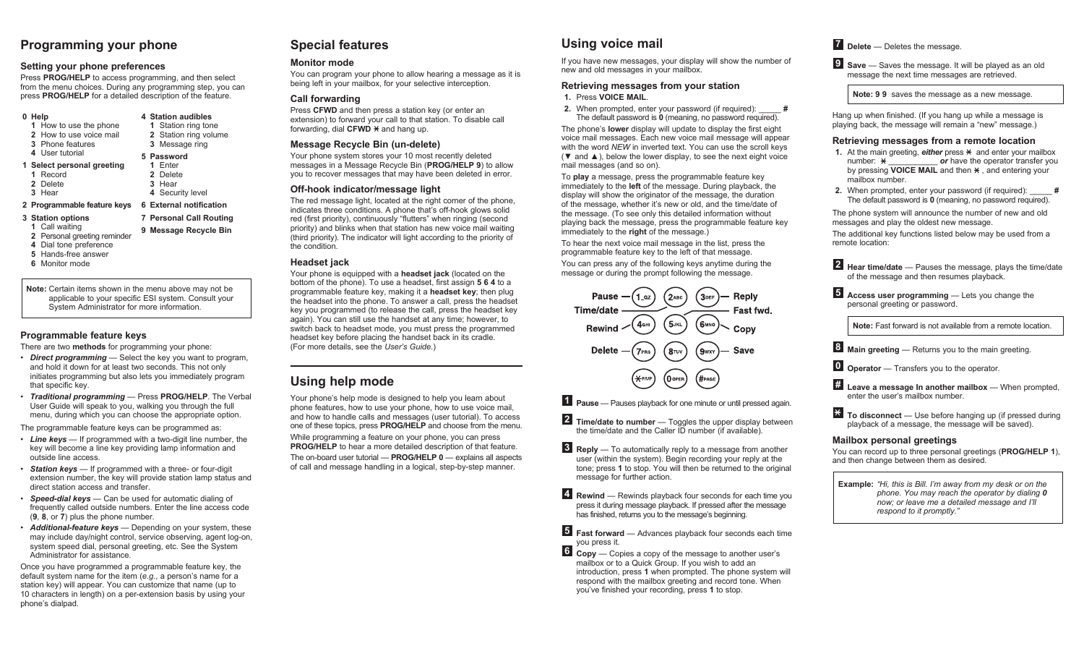# **Programming your phone**

#### **Setting your phone preferences**

Press **PROG/HELP** to access programming, and then select from the menu choices. During any programming step, you can press **PROG/HELP** for a detailed description of the feature.

| 0 Help                      | 4 Station audibles      |
|-----------------------------|-------------------------|
| 1 How to use the phone      | 1 Station ring tone     |
| 2 How to use voice mail     | 2 Station ring volume   |
| <b>3</b> Phone features     | 3 Message ring          |
| 4 User futorial             | 5 Password              |
| 1 Select personal greeting  | 1 Fnter                 |
| 1 Record                    | 2 Delete                |
| 2 Delete                    | 3 Hear                  |
| 3 Hear                      | 4 Security level        |
| 2 Programmable feature keys | 6 External notification |
| 3 Station options           | 7 Personal Call Routing |

- **1** Call waiting **2** Personal greeting reminder **9 Message Recycle Bin**
- **4** Dial tone preference
- **5** Hands-free answer
- **6** Monitor mode

**Note:** Certain items shown in the menu above may not be

applicable to your specific ESI system. Consult your System Administrator for more information.

# **Programmable feature keys**

There are two **methods** for programming your phone:

- *Direct programming* Select the key you want to program, and hold it down for at least two seconds. This not only initiates programming but also lets you immediately program that specific key.
- *Traditional programming* Press **PROG/HELP**. The Verbal User Guide will speak to you, walking you through the full menu, during which you can choose the appropriate option.

The programmable feature keys can be programmed as:

- *Line keys* If programmed with a two-digit line number, the key will become a line key providing lamp information and outside line access.
- *Station keys* If programmed with a three- or four-digit extension number, the key will provide station lamp status and direct station access and transfer.
- *Speed-dial keys* Can be used for automatic dialing of frequently called outside numbers. Enter the line access code (**9**, **8**, or **7**) plus the phone number.
- *Additional-feature keys* Depending on your system, these may include day/night control, service observing, agent log-on, system speed dial, personal greeting, etc. See the System Administrator for assistance.

Once you have programmed a programmable feature key, the default system name for the item (*e.g.*, a person's name for a station key) will appear. You can customize that name (up to 10 characters in length) on a per-extension basis by using your phone's dialpad.

# **Special features**

# **Monitor mode**

You can program your phone to allow hearing a message as it is being left in your mailbox, for your selective interception.

# **Call forwarding**

Press **CFWD** and then press a station key (or enter an extension) to forward your call to that station. To disable call forwarding, dial  $CFWD \times$  and hang up.

# **Message Recycle Bin (un-delete)**

Your phone system stores your 10 most recently deleted messages in a Message Recycle Bin (**PROG/HELP 9**) to allow you to recover messages that may have been deleted in error.

#### **Off-hook indicator/message light**

The red message light, located at the right corner of the phone. indicates three conditions. A phone that's off-hook glows solid red (first priority), continuously "flutters" when ringing (second priority) and blinks when that station has new voice mail waiting (third priority). The indicator will light according to the priority of the condition.

# **Headset jack**

Your phone is equipped with a **headset jack** (located on the bottom of the phone). To use a headset, first assign **5 6 4** to a programmable feature key, making it a **headset key**; then plug the headset into the phone. To answer a call, press the headset key you programmed (to release the call, press the headset key again). You can still use the handset at any time; however, to switch back to headset mode, you must press the programmed headset key before placing the handset back in its cradle. (For more details, see the *User's Guide*.)

# **Using help mode**

Your phone's help mode is designed to help you learn about phone features, how to use your phone, how to use voice mail, and how to handle calls and messages (user tutorial). To access one of these topics, press **PROG/HELP** and choose from the menu. While programming a feature on your phone, you can press **PROG/HELP** to hear a more detailed description of that feature. The on-board user tutorial — **PROG/HELP 0** — explains all aspects of call and message handling in a logical, step-by-step manner.

# **Using voice mail**

If you have new messages, your display will show the number of new and old messages in your mailbox.

#### **Retrieving messages from your station 1.** Press **VOICE MAIL**.

**2.** When prompted, enter your password (if required): The default password is **0** (meaning, no password required).

The phone's **lower** display will update to display the first eight voice mail messages. Each new voice mail message will appear with the word *NEW* in inverted text. You can use the scroll keys ( $\nabla$  and  $\triangle$ ), below the lower display, to see the next eight voice mail messages (and so on).

To **play** a message, press the programmable feature key immediately to the **left** of the message. During playback, the display will show the originator of the message, the duration of the message, whether it's new or old, and the time/date of the message. (To see only this detailed information without playing back the message, press the programmable feature key immediately to the **right** of the message.)

To hear the next voice mail message in the list, press the programmable feature key to the left of that message.

You can press any of the following keys anytime during the message or during the prompt following the message.



**1 Pause** — Pauses playback for one minute or until pressed again.

- **2 Time/date to number** Toggles the upper display between the time/date and the Caller ID number (if available).
- **3 Reply** To automatically reply to a message from another user (within the system). Begin recording your reply at the tone; press **1** to stop. You will then be returned to the original message for further action.

**4 Rewind** — Rewinds playback four seconds for each time you press it during message playback. If pressed after the message has finished, returns you to the message's beginning.

**5 Fast forward** — Advances playback four seconds each time you press it.

**6 Copy** — Copies a copy of the message to another user's mailbox or to a Quick Group. If you wish to add an introduction, press **1** when prompted. The phone system will respond with the mailbox greeting and record tone. When you've finished your recording, press **1** to stop.

# **7 Delete** — Deletes the message.

**9 Save** — Saves the message. It will be played as an old message the next time messages are retrieved.

**Note: 9 9** saves the message as a new message.

Hang up when finished. (If you hang up while a message is playing back, the message will remain a "new" message.)

#### **Retrieving messages from a remote location**

- **1.** At the main greeting, *either* press  $*$  and enter your mailbox number:  $\star$  **or** have the operator transfer you by pressing **VOICE MAIL** and then  $\star$ , and entering your mailbox number.
- **2.** When prompted, enter your password (if required): The default password is **0** (meaning, no password required).

The phone system will announce the number of new and old messages and play the oldest new message. The additional key functions listed below may be used from a remote location:

**2 Hear time/date** — Pauses the message, plays the time/date of the message and then resumes playback.

**5 Access user programming** — Lets you change the personal greeting or password.

**Note:** Fast forward is not available from a remote location.

**8 Main greeting** — Returns you to the main greeting.

**0 Operator** — Transfers you to the operator.

**# Leave a message In another mailbox** — When prompted, enter the user's mailbox number.

**To disconnect** — Use before hanging up (if pressed during playback of a message, the message will be saved).

# **Mailbox personal greetings**

You can record up to three personal greetings (**PROG/HELP 1**), and then change between them as desired.

**Example:** *"Hi, this is Bill. I'm away from my desk or on the phone. You may reach the operator by dialing 0 now; or leave me a detailed message and I'll respond to it promptly."*